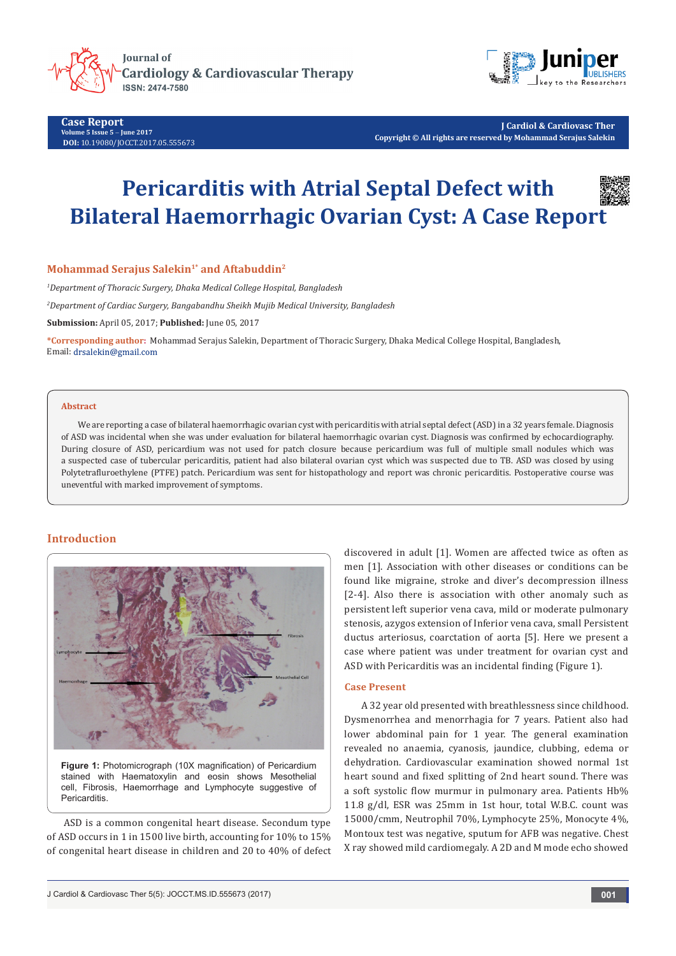



**Case Report Volume 5 Issue 5** - **June 2017 DOI:** [10.19080/JOCCT.2017.05.555673](http://dx.doi.org/10.19080/JOCCT.2017.05.555673)

**J Cardiol & Cardiovasc Ther Copyright © All rights are reserved by Mohammad Serajus Salekin**

# **Pericarditis with Atrial Septal Defect with Bilateral Haemorrhagic Ovarian Cyst: A Case Report**



## **Mohammad Serajus Salekin<sup>1\*</sup> and Aftabuddin<sup>2</sup>**

*1 Department of Thoracic Surgery, Dhaka Medical College Hospital, Bangladesh*

*2 Department of Cardiac Surgery, Bangabandhu Sheikh Mujib Medical University, Bangladesh*

**Submission:** April 05, 2017; **Published:** June 05, 2017

**\*Corresponding author:** Mohammad Serajus Salekin, Department of Thoracic Surgery, Dhaka Medical College Hospital, Bangladesh, Email: drsalekin@gmail.com

#### **Abstract**

We are reporting a case of bilateral haemorrhagic ovarian cyst with pericarditis with atrial septal defect (ASD) in a 32 years female. Diagnosis of ASD was incidental when she was under evaluation for bilateral haemorrhagic ovarian cyst. Diagnosis was confirmed by echocardiography. During closure of ASD, pericardium was not used for patch closure because pericardium was full of multiple small nodules which was a suspected case of tubercular pericarditis, patient had also bilateral ovarian cyst which was suspected due to TB. ASD was closed by using Polytetrafluroethylene (PTFE) patch. Pericardium was sent for histopathology and report was chronic pericarditis. Postoperative course was uneventful with marked improvement of symptoms.

# **Introduction**



stained with Haematoxylin and eosin shows Mesothelial cell, Fibrosis, Haemorrhage and Lymphocyte suggestive of Pericarditis.

ASD is a common congenital heart disease. Secondum type of ASD occurs in 1 in 1500 live birth, accounting for 10% to 15% of congenital heart disease in children and 20 to 40% of defect discovered in adult [1]. Women are affected twice as often as men [1]. Association with other diseases or conditions can be found like migraine, stroke and diver's decompression illness [2-4]. Also there is association with other anomaly such as persistent left superior vena cava, mild or moderate pulmonary stenosis, azygos extension of Inferior vena cava, small Persistent ductus arteriosus, coarctation of aorta [5]. Here we present a case where patient was under treatment for ovarian cyst and ASD with Pericarditis was an incidental finding (Figure 1).

#### **Case Present**

A 32 year old presented with breathlessness since childhood. Dysmenorrhea and menorrhagia for 7 years. Patient also had lower abdominal pain for 1 year. The general examination revealed no anaemia, cyanosis, jaundice, clubbing, edema or dehydration. Cardiovascular examination showed normal 1st heart sound and fixed splitting of 2nd heart sound. There was a soft systolic flow murmur in pulmonary area. Patients Hb% 11.8 g/dl, ESR was 25mm in 1st hour, total W.B.C. count was 15000/cmm, Neutrophil 70%, Lymphocyte 25%, Monocyte 4%, Montoux test was negative, sputum for AFB was negative. Chest X ray showed mild cardiomegaly. A 2D and M mode echo showed